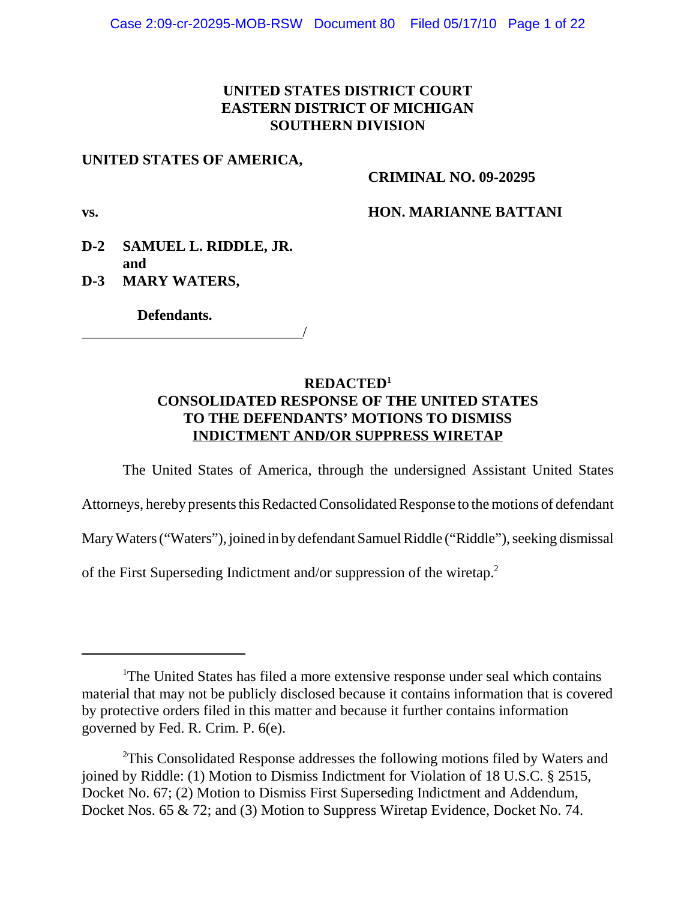## **UNITED STATES DISTRICT COURT EASTERN DISTRICT OF MICHIGAN SOUTHERN DIVISION**

### **UNITED STATES OF AMERICA,**

### **CRIMINAL NO. 09-20295**

### **vs. HON. MARIANNE BATTANI**

## **D-2 SAMUEL L. RIDDLE, JR. and**

\_\_\_\_\_\_\_\_\_\_\_\_\_\_\_\_\_\_\_\_\_\_\_\_\_\_\_\_\_\_/

**D-3 MARY WATERS,**

 **Defendants.**

## **REDACTED1 CONSOLIDATED RESPONSE OF THE UNITED STATES TO THE DEFENDANTS' MOTIONS TO DISMISS INDICTMENT AND/OR SUPPRESS WIRETAP**

The United States of America, through the undersigned Assistant United States Attorneys, hereby presents this Redacted Consolidated Response to the motions of defendant Mary Waters ("Waters"), joined in by defendant Samuel Riddle ("Riddle"), seeking dismissal of the First Superseding Indictment and/or suppression of the wiretap.2

<sup>&</sup>lt;sup>1</sup>The United States has filed a more extensive response under seal which contains material that may not be publicly disclosed because it contains information that is covered by protective orders filed in this matter and because it further contains information governed by Fed. R. Crim. P. 6(e).

<sup>&</sup>lt;sup>2</sup>This Consolidated Response addresses the following motions filed by Waters and joined by Riddle: (1) Motion to Dismiss Indictment for Violation of 18 U.S.C. § 2515, Docket No. 67; (2) Motion to Dismiss First Superseding Indictment and Addendum, Docket Nos. 65 & 72; and (3) Motion to Suppress Wiretap Evidence, Docket No. 74.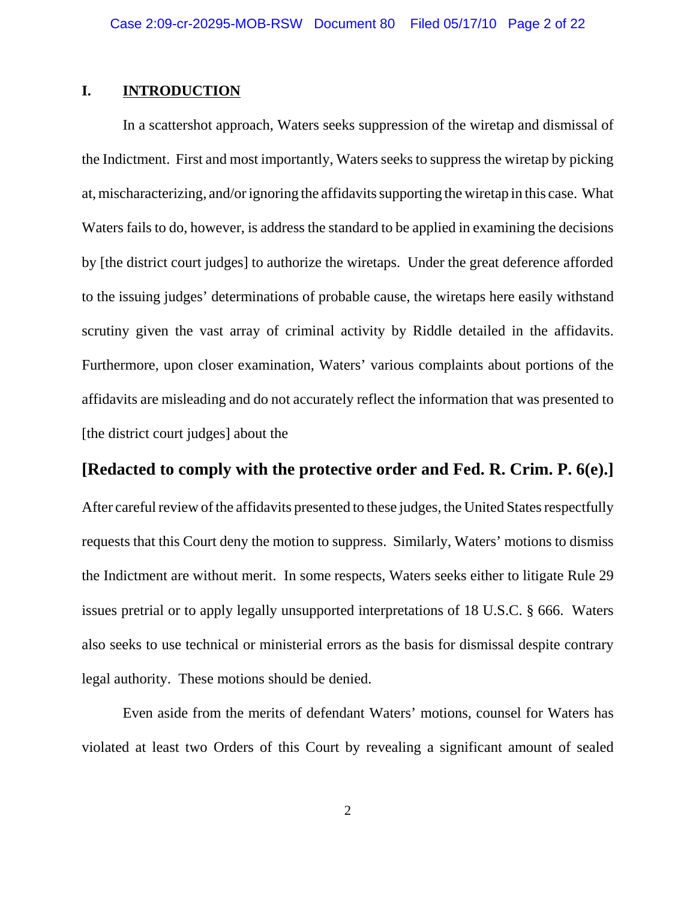### **I. INTRODUCTION**

In a scattershot approach, Waters seeks suppression of the wiretap and dismissal of the Indictment. First and most importantly, Waters seeks to suppress the wiretap by picking at, mischaracterizing, and/or ignoring the affidavits supporting the wiretap in this case. What Waters fails to do, however, is address the standard to be applied in examining the decisions by [the district court judges] to authorize the wiretaps. Under the great deference afforded to the issuing judges' determinations of probable cause, the wiretaps here easily withstand scrutiny given the vast array of criminal activity by Riddle detailed in the affidavits. Furthermore, upon closer examination, Waters' various complaints about portions of the affidavits are misleading and do not accurately reflect the information that was presented to [the district court judges] about the

### **[Redacted to comply with the protective order and Fed. R. Crim. P. 6(e).]**

After careful review of the affidavits presented to these judges, the United States respectfully requests that this Court deny the motion to suppress. Similarly, Waters' motions to dismiss the Indictment are without merit. In some respects, Waters seeks either to litigate Rule 29 issues pretrial or to apply legally unsupported interpretations of 18 U.S.C. § 666. Waters also seeks to use technical or ministerial errors as the basis for dismissal despite contrary legal authority. These motions should be denied.

Even aside from the merits of defendant Waters' motions, counsel for Waters has violated at least two Orders of this Court by revealing a significant amount of sealed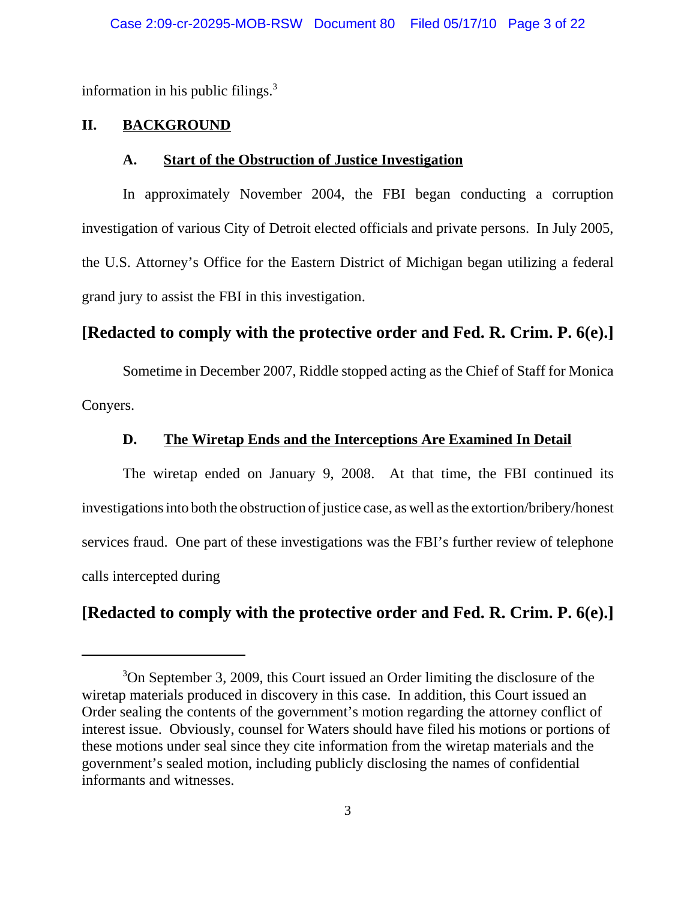information in his public filings. $3$ 

### **II. BACKGROUND**

#### **A. Start of the Obstruction of Justice Investigation**

In approximately November 2004, the FBI began conducting a corruption investigation of various City of Detroit elected officials and private persons. In July 2005, the U.S. Attorney's Office for the Eastern District of Michigan began utilizing a federal grand jury to assist the FBI in this investigation.

# **[Redacted to comply with the protective order and Fed. R. Crim. P. 6(e).]**

Sometime in December 2007, Riddle stopped acting as the Chief of Staff for Monica Conyers.

## **D. The Wiretap Ends and the Interceptions Are Examined In Detail**

The wiretap ended on January 9, 2008. At that time, the FBI continued its investigations into both the obstruction of justice case, as well as the extortion/bribery/honest services fraud. One part of these investigations was the FBI's further review of telephone calls intercepted during

# **[Redacted to comply with the protective order and Fed. R. Crim. P. 6(e).]**

<sup>&</sup>lt;sup>3</sup>On September 3, 2009, this Court issued an Order limiting the disclosure of the wiretap materials produced in discovery in this case. In addition, this Court issued an Order sealing the contents of the government's motion regarding the attorney conflict of interest issue. Obviously, counsel for Waters should have filed his motions or portions of these motions under seal since they cite information from the wiretap materials and the government's sealed motion, including publicly disclosing the names of confidential informants and witnesses.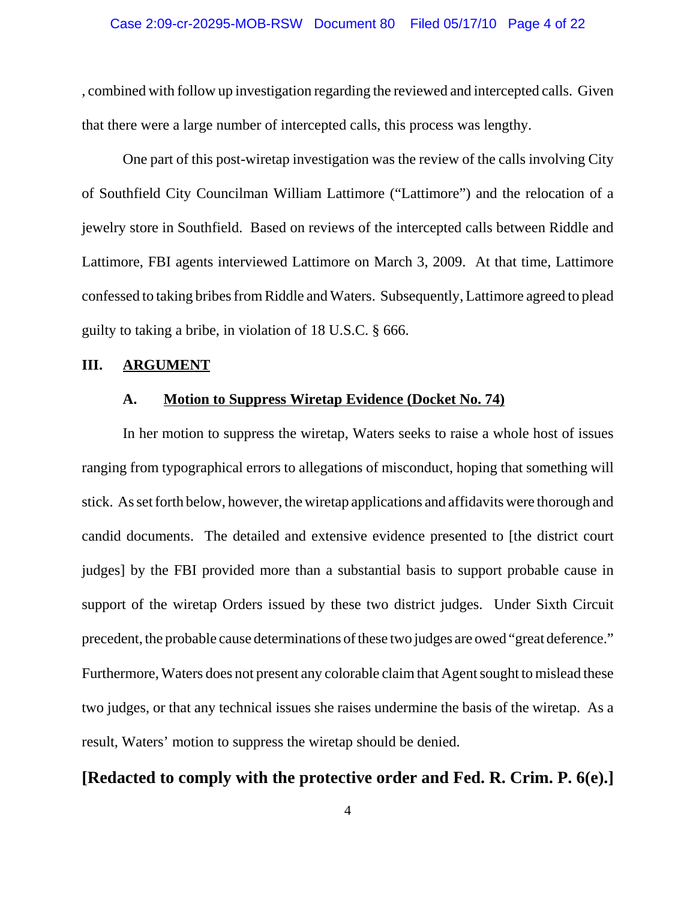#### Case 2:09-cr-20295-MOB-RSW Document 80 Filed 05/17/10 Page 4 of 22

, combined with follow up investigation regarding the reviewed and intercepted calls. Given that there were a large number of intercepted calls, this process was lengthy.

One part of this post-wiretap investigation was the review of the calls involving City of Southfield City Councilman William Lattimore ("Lattimore") and the relocation of a jewelry store in Southfield. Based on reviews of the intercepted calls between Riddle and Lattimore, FBI agents interviewed Lattimore on March 3, 2009. At that time, Lattimore confessed to taking bribes from Riddle and Waters. Subsequently, Lattimore agreed to plead guilty to taking a bribe, in violation of 18 U.S.C. § 666.

#### **III. ARGUMENT**

#### **A. Motion to Suppress Wiretap Evidence (Docket No. 74)**

In her motion to suppress the wiretap, Waters seeks to raise a whole host of issues ranging from typographical errors to allegations of misconduct, hoping that something will stick. As set forth below, however, the wiretap applications and affidavits were thorough and candid documents. The detailed and extensive evidence presented to [the district court judges] by the FBI provided more than a substantial basis to support probable cause in support of the wiretap Orders issued by these two district judges. Under Sixth Circuit precedent, the probable cause determinations of these two judges are owed "great deference." Furthermore, Waters does not present any colorable claim that Agent sought to mislead these two judges, or that any technical issues she raises undermine the basis of the wiretap. As a result, Waters' motion to suppress the wiretap should be denied.

## **[Redacted to comply with the protective order and Fed. R. Crim. P. 6(e).]**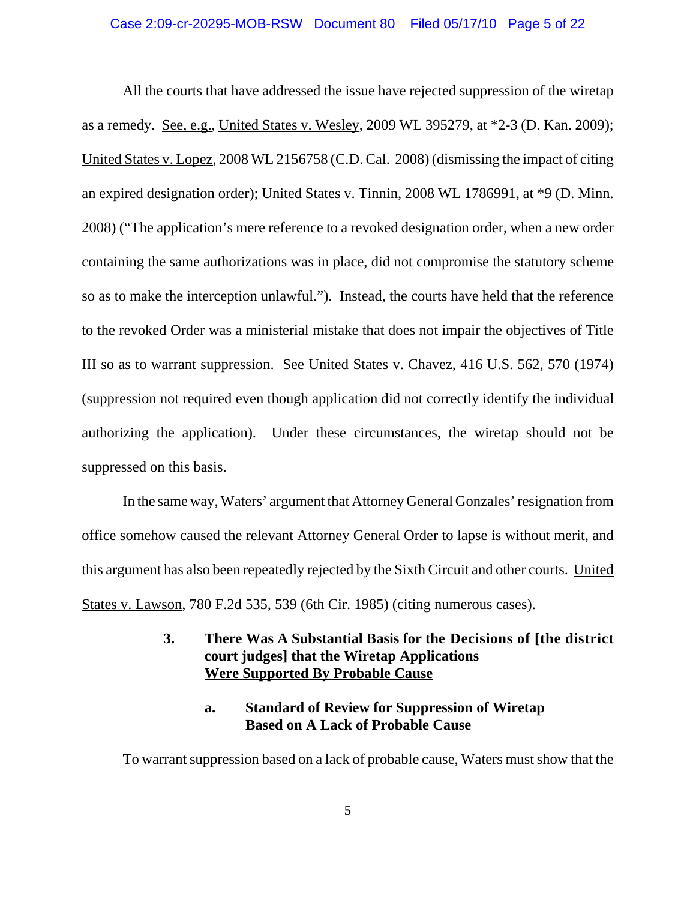All the courts that have addressed the issue have rejected suppression of the wiretap as a remedy. See, e.g., United States v. Wesley, 2009 WL 395279, at \*2-3 (D. Kan. 2009); United States v. Lopez, 2008 WL 2156758 (C.D. Cal. 2008) (dismissing the impact of citing an expired designation order); United States v. Tinnin, 2008 WL 1786991, at \*9 (D. Minn. 2008) ("The application's mere reference to a revoked designation order, when a new order containing the same authorizations was in place, did not compromise the statutory scheme so as to make the interception unlawful."). Instead, the courts have held that the reference to the revoked Order was a ministerial mistake that does not impair the objectives of Title III so as to warrant suppression. See United States v. Chavez, 416 U.S. 562, 570 (1974) (suppression not required even though application did not correctly identify the individual authorizing the application). Under these circumstances, the wiretap should not be suppressed on this basis.

In the same way, Waters' argument that Attorney General Gonzales' resignation from office somehow caused the relevant Attorney General Order to lapse is without merit, and this argument has also been repeatedly rejected by the Sixth Circuit and other courts. United States v. Lawson, 780 F.2d 535, 539 (6th Cir. 1985) (citing numerous cases).

## **3. There Was A Substantial Basis for the Decisions of [the district court judges] that the Wiretap Applications Were Supported By Probable Cause**

## **a. Standard of Review for Suppression of Wiretap Based on A Lack of Probable Cause**

To warrant suppression based on a lack of probable cause, Waters must show that the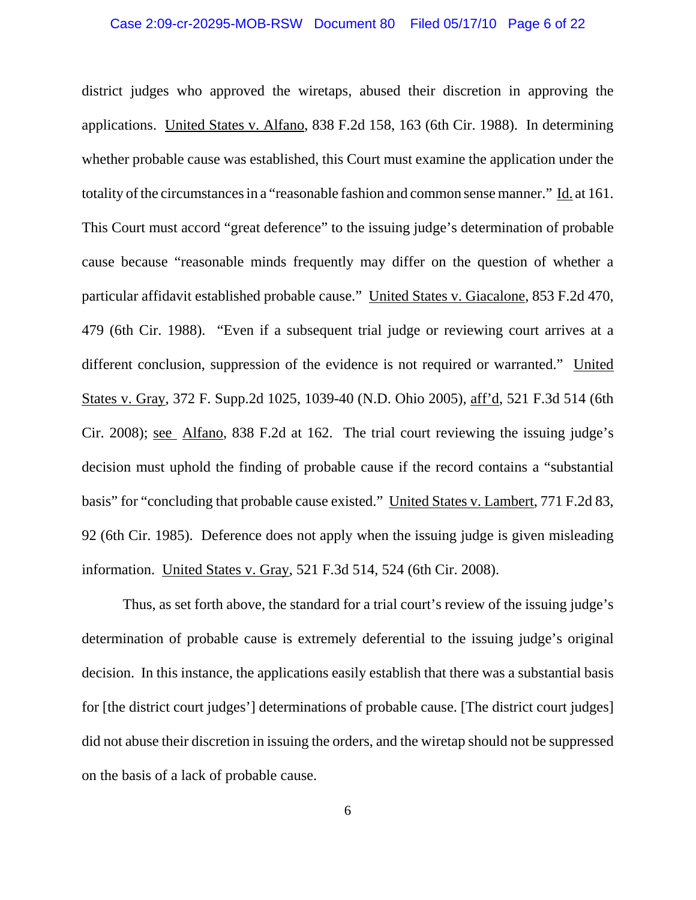# Case 2:09-cr-20295-MOB-RSW Document 80 Filed 05/17/10 Page 6 of 22

district judges who approved the wiretaps, abused their discretion in approving the applications. United States v. Alfano, 838 F.2d 158, 163 (6th Cir. 1988). In determining whether probable cause was established, this Court must examine the application under the totality of the circumstances in a "reasonable fashion and common sense manner." Id. at 161. This Court must accord "great deference" to the issuing judge's determination of probable cause because "reasonable minds frequently may differ on the question of whether a particular affidavit established probable cause." United States v. Giacalone, 853 F.2d 470, 479 (6th Cir. 1988). "Even if a subsequent trial judge or reviewing court arrives at a different conclusion, suppression of the evidence is not required or warranted." United States v. Gray, 372 F. Supp.2d 1025, 1039-40 (N.D. Ohio 2005), aff'd, 521 F.3d 514 (6th Cir. 2008); see Alfano, 838 F.2d at 162. The trial court reviewing the issuing judge's decision must uphold the finding of probable cause if the record contains a "substantial basis" for "concluding that probable cause existed." United States v. Lambert, 771 F.2d 83, 92 (6th Cir. 1985). Deference does not apply when the issuing judge is given misleading information. United States v. Gray, 521 F.3d 514, 524 (6th Cir. 2008).

Thus, as set forth above, the standard for a trial court's review of the issuing judge's determination of probable cause is extremely deferential to the issuing judge's original decision. In this instance, the applications easily establish that there was a substantial basis for [the district court judges'] determinations of probable cause. [The district court judges] did not abuse their discretion in issuing the orders, and the wiretap should not be suppressed on the basis of a lack of probable cause.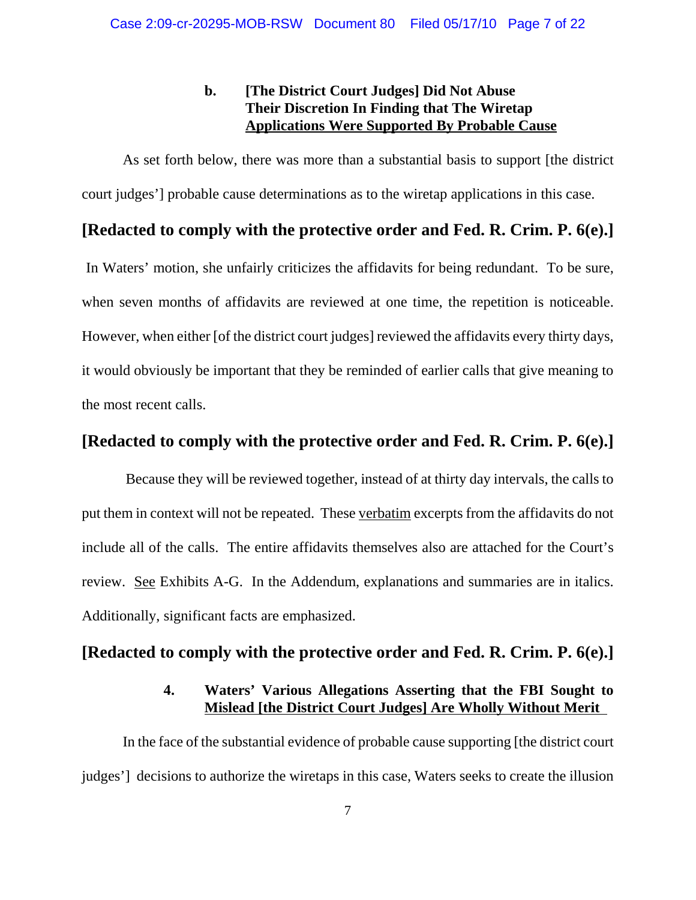## **b. [The District Court Judges] Did Not Abuse Their Discretion In Finding that The Wiretap Applications Were Supported By Probable Cause**

As set forth below, there was more than a substantial basis to support [the district court judges'] probable cause determinations as to the wiretap applications in this case.

## **[Redacted to comply with the protective order and Fed. R. Crim. P. 6(e).]**

 In Waters' motion, she unfairly criticizes the affidavits for being redundant. To be sure, when seven months of affidavits are reviewed at one time, the repetition is noticeable. However, when either [of the district court judges] reviewed the affidavits every thirty days, it would obviously be important that they be reminded of earlier calls that give meaning to the most recent calls.

## **[Redacted to comply with the protective order and Fed. R. Crim. P. 6(e).]**

 Because they will be reviewed together, instead of at thirty day intervals, the calls to put them in context will not be repeated. These verbatim excerpts from the affidavits do not include all of the calls. The entire affidavits themselves also are attached for the Court's review. See Exhibits A-G. In the Addendum, explanations and summaries are in italics. Additionally, significant facts are emphasized.

### **[Redacted to comply with the protective order and Fed. R. Crim. P. 6(e).]**

### **4. Waters' Various Allegations Asserting that the FBI Sought to Mislead [the District Court Judges] Are Wholly Without Merit**

In the face of the substantial evidence of probable cause supporting [the district court judges'] decisions to authorize the wiretaps in this case, Waters seeks to create the illusion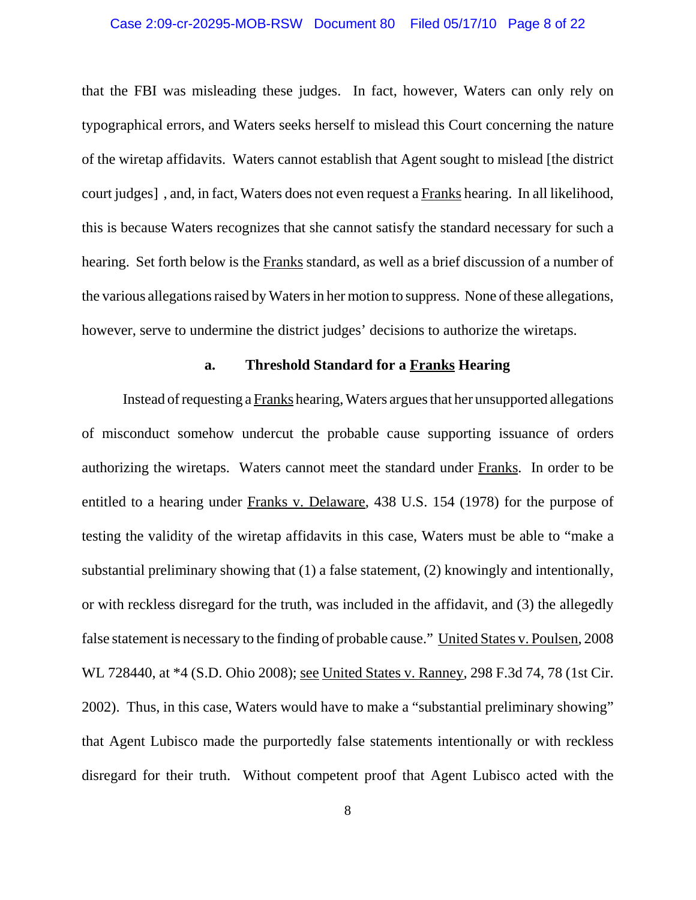#### Case 2:09-cr-20295-MOB-RSW Document 80 Filed 05/17/10 Page 8 of 22

that the FBI was misleading these judges. In fact, however, Waters can only rely on typographical errors, and Waters seeks herself to mislead this Court concerning the nature of the wiretap affidavits. Waters cannot establish that Agent sought to mislead [the district court judges] , and, in fact, Waters does not even request a Franks hearing. In all likelihood, this is because Waters recognizes that she cannot satisfy the standard necessary for such a hearing. Set forth below is the Franks standard, as well as a brief discussion of a number of the various allegations raised by Waters in her motion to suppress. None of these allegations, however, serve to undermine the district judges' decisions to authorize the wiretaps.

#### **a. Threshold Standard for a Franks Hearing**

Instead of requesting a Franks hearing, Waters argues that her unsupported allegations of misconduct somehow undercut the probable cause supporting issuance of orders authorizing the wiretaps. Waters cannot meet the standard under Franks. In order to be entitled to a hearing under Franks v. Delaware, 438 U.S. 154 (1978) for the purpose of testing the validity of the wiretap affidavits in this case, Waters must be able to "make a substantial preliminary showing that (1) a false statement, (2) knowingly and intentionally, or with reckless disregard for the truth, was included in the affidavit, and (3) the allegedly false statement is necessary to the finding of probable cause." United States v. Poulsen, 2008 WL 728440, at \*4 (S.D. Ohio 2008); see United States v. Ranney, 298 F.3d 74, 78 (1st Cir. 2002). Thus, in this case, Waters would have to make a "substantial preliminary showing" that Agent Lubisco made the purportedly false statements intentionally or with reckless disregard for their truth. Without competent proof that Agent Lubisco acted with the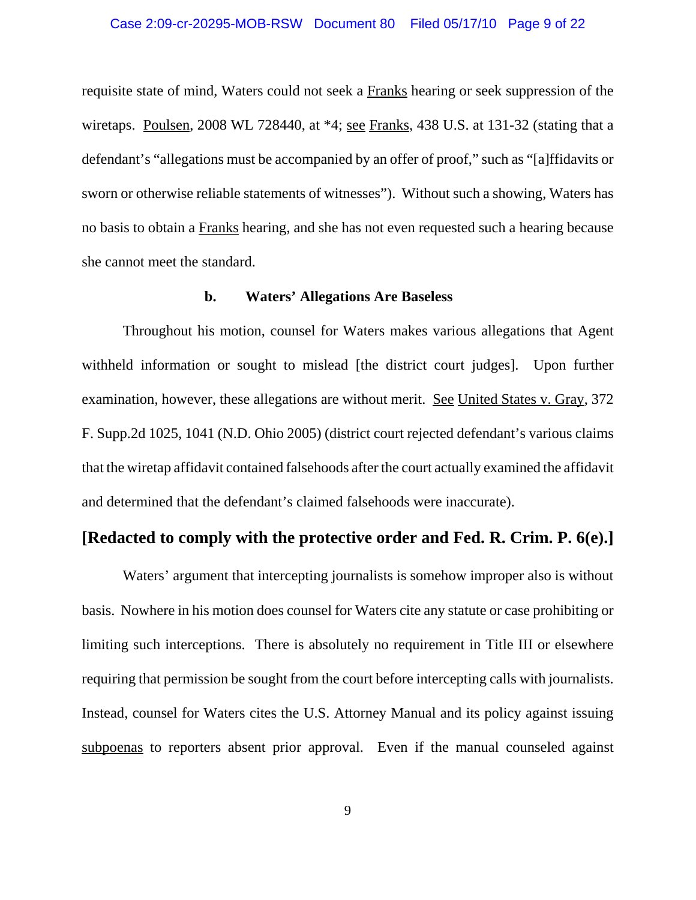requisite state of mind, Waters could not seek a Franks hearing or seek suppression of the wiretaps. Poulsen, 2008 WL 728440, at \*4; see Franks, 438 U.S. at 131-32 (stating that a defendant's "allegations must be accompanied by an offer of proof," such as "[a]ffidavits or sworn or otherwise reliable statements of witnesses"). Without such a showing, Waters has no basis to obtain a Franks hearing, and she has not even requested such a hearing because she cannot meet the standard.

#### **b. Waters' Allegations Are Baseless**

Throughout his motion, counsel for Waters makes various allegations that Agent withheld information or sought to mislead [the district court judges]. Upon further examination, however, these allegations are without merit. See United States v. Gray, 372 F. Supp.2d 1025, 1041 (N.D. Ohio 2005) (district court rejected defendant's various claims that the wiretap affidavit contained falsehoods after the court actually examined the affidavit and determined that the defendant's claimed falsehoods were inaccurate).

## **[Redacted to comply with the protective order and Fed. R. Crim. P. 6(e).]**

Waters' argument that intercepting journalists is somehow improper also is without basis. Nowhere in his motion does counsel for Waters cite any statute or case prohibiting or limiting such interceptions. There is absolutely no requirement in Title III or elsewhere requiring that permission be sought from the court before intercepting calls with journalists. Instead, counsel for Waters cites the U.S. Attorney Manual and its policy against issuing subpoenas to reporters absent prior approval. Even if the manual counseled against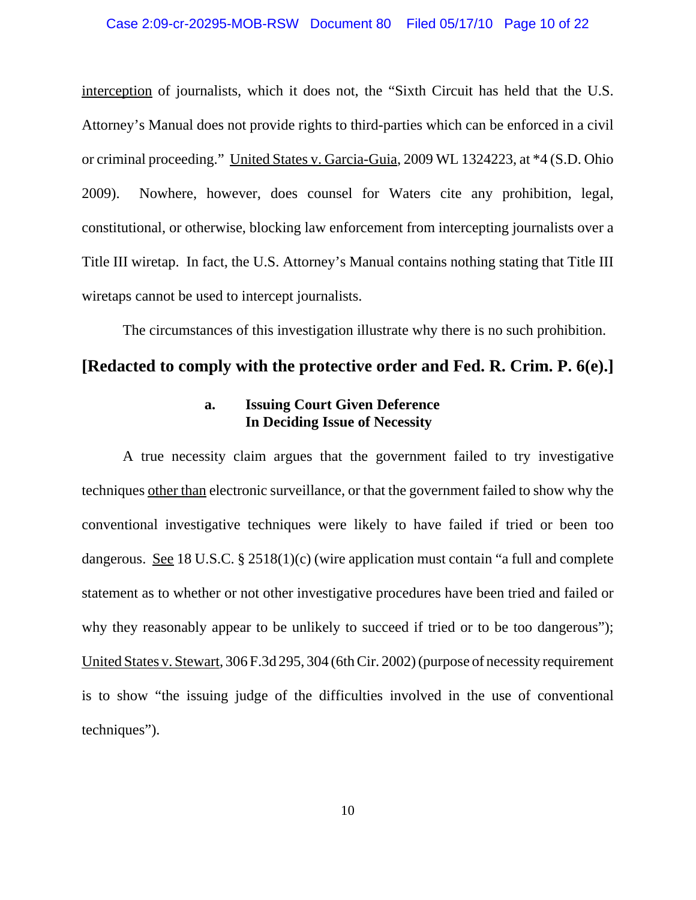#### Case 2:09-cr-20295-MOB-RSW Document 80 Filed 05/17/10 Page 10 of 22

interception of journalists, which it does not, the "Sixth Circuit has held that the U.S. Attorney's Manual does not provide rights to third-parties which can be enforced in a civil or criminal proceeding." United States v. Garcia-Guia, 2009 WL 1324223, at \*4 (S.D. Ohio 2009). Nowhere, however, does counsel for Waters cite any prohibition, legal, constitutional, or otherwise, blocking law enforcement from intercepting journalists over a Title III wiretap. In fact, the U.S. Attorney's Manual contains nothing stating that Title III wiretaps cannot be used to intercept journalists.

The circumstances of this investigation illustrate why there is no such prohibition.

### **[Redacted to comply with the protective order and Fed. R. Crim. P. 6(e).]**

#### **a. Issuing Court Given Deference In Deciding Issue of Necessity**

A true necessity claim argues that the government failed to try investigative techniques other than electronic surveillance, or that the government failed to show why the conventional investigative techniques were likely to have failed if tried or been too dangerous. See 18 U.S.C. § 2518(1)(c) (wire application must contain "a full and complete statement as to whether or not other investigative procedures have been tried and failed or why they reasonably appear to be unlikely to succeed if tried or to be too dangerous"); United States v. Stewart, 306 F.3d 295, 304 (6th Cir. 2002) (purpose of necessity requirement is to show "the issuing judge of the difficulties involved in the use of conventional techniques").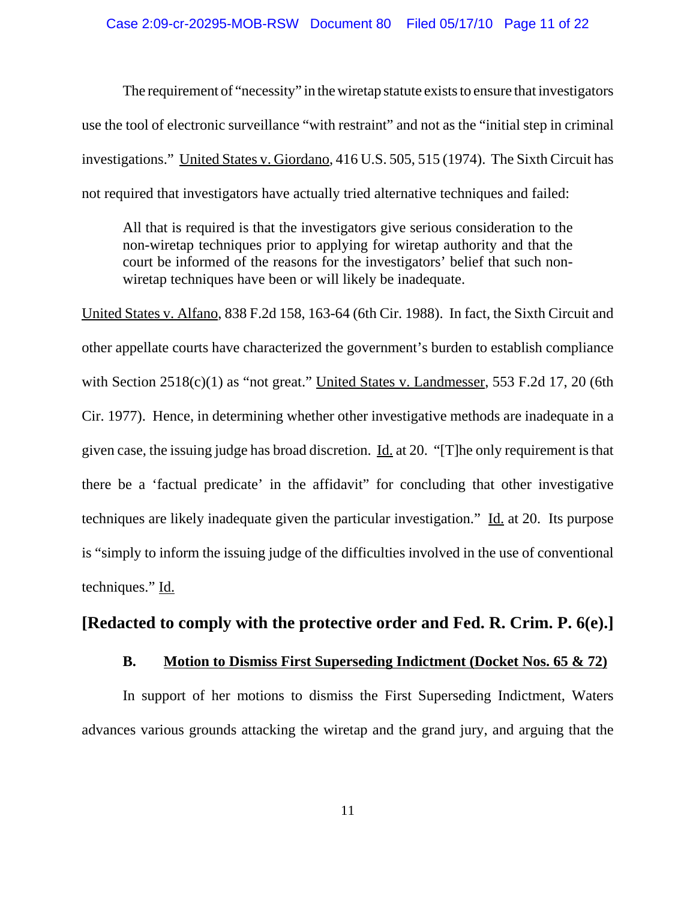The requirement of "necessity" in the wiretap statute exists to ensure that investigators use the tool of electronic surveillance "with restraint" and not as the "initial step in criminal investigations." United States v. Giordano, 416 U.S. 505, 515 (1974). The Sixth Circuit has not required that investigators have actually tried alternative techniques and failed:

All that is required is that the investigators give serious consideration to the non-wiretap techniques prior to applying for wiretap authority and that the court be informed of the reasons for the investigators' belief that such nonwiretap techniques have been or will likely be inadequate.

United States v. Alfano, 838 F.2d 158, 163-64 (6th Cir. 1988). In fact, the Sixth Circuit and other appellate courts have characterized the government's burden to establish compliance with Section 2518(c)(1) as "not great." United States v. Landmesser, 553 F.2d 17, 20 (6th Cir. 1977).Hence, in determining whether other investigative methods are inadequate in a given case, the issuing judge has broad discretion. Id. at 20. "[T]he only requirement is that there be a 'factual predicate' in the affidavit" for concluding that other investigative techniques are likely inadequate given the particular investigation." Id. at 20. Its purpose is "simply to inform the issuing judge of the difficulties involved in the use of conventional techniques." Id.

## **[Redacted to comply with the protective order and Fed. R. Crim. P. 6(e).]**

#### **B. Motion to Dismiss First Superseding Indictment (Docket Nos. 65 & 72)**

In support of her motions to dismiss the First Superseding Indictment, Waters advances various grounds attacking the wiretap and the grand jury, and arguing that the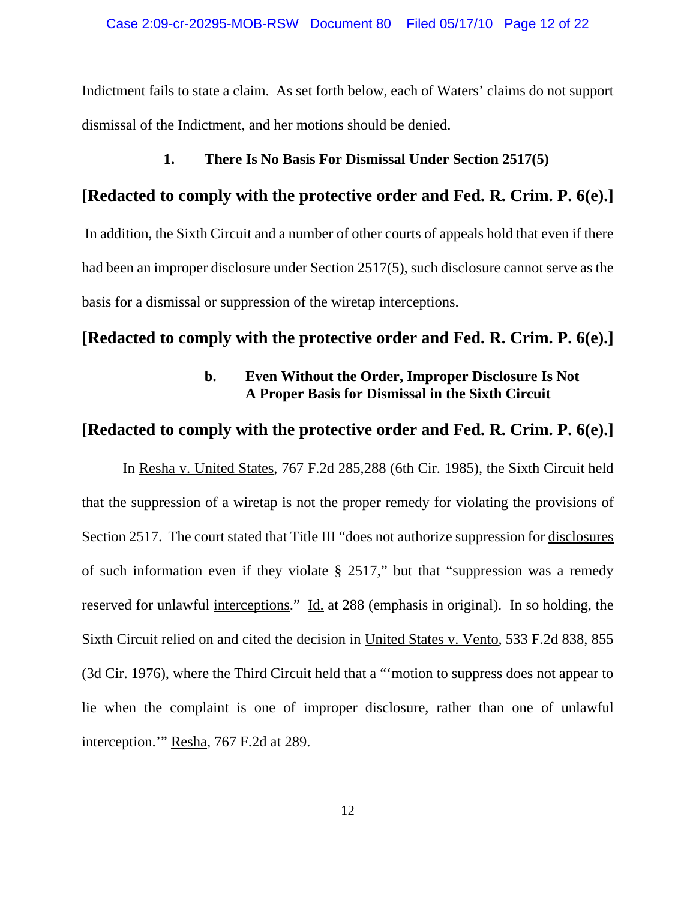Indictment fails to state a claim. As set forth below, each of Waters' claims do not support dismissal of the Indictment, and her motions should be denied.

#### **1. There Is No Basis For Dismissal Under Section 2517(5)**

### **[Redacted to comply with the protective order and Fed. R. Crim. P. 6(e).]**

 In addition, the Sixth Circuit and a number of other courts of appeals hold that even if there had been an improper disclosure under Section 2517(5), such disclosure cannot serve as the basis for a dismissal or suppression of the wiretap interceptions.

#### **[Redacted to comply with the protective order and Fed. R. Crim. P. 6(e).]**

### **b. Even Without the Order, Improper Disclosure Is Not A Proper Basis for Dismissal in the Sixth Circuit**

## **[Redacted to comply with the protective order and Fed. R. Crim. P. 6(e).]**

 In Resha v. United States, 767 F.2d 285,288 (6th Cir. 1985), the Sixth Circuit held that the suppression of a wiretap is not the proper remedy for violating the provisions of Section 2517. The court stated that Title III "does not authorize suppression for disclosures of such information even if they violate § 2517," but that "suppression was a remedy reserved for unlawful interceptions." Id. at 288 (emphasis in original). In so holding, the Sixth Circuit relied on and cited the decision in United States v. Vento, 533 F.2d 838, 855 (3d Cir. 1976), where the Third Circuit held that a "'motion to suppress does not appear to lie when the complaint is one of improper disclosure, rather than one of unlawful interception.'" Resha, 767 F.2d at 289.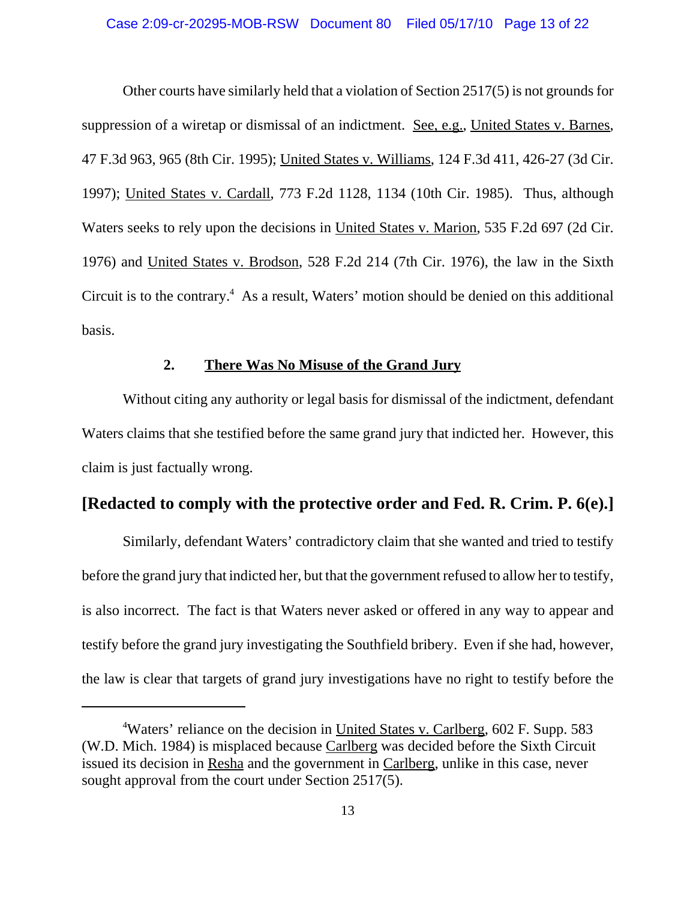Other courts have similarly held that a violation of Section 2517(5) is not grounds for suppression of a wiretap or dismissal of an indictment. See, e.g., United States v. Barnes, 47 F.3d 963, 965 (8th Cir. 1995); United States v. Williams, 124 F.3d 411, 426-27 (3d Cir. 1997); United States v. Cardall, 773 F.2d 1128, 1134 (10th Cir. 1985). Thus, although Waters seeks to rely upon the decisions in United States v. Marion, 535 F.2d 697 (2d Cir. 1976) and United States v. Brodson, 528 F.2d 214 (7th Cir. 1976), the law in the Sixth Circuit is to the contrary.<sup>4</sup> As a result, Waters' motion should be denied on this additional basis.

#### **2. There Was No Misuse of the Grand Jury**

Without citing any authority or legal basis for dismissal of the indictment, defendant Waters claims that she testified before the same grand jury that indicted her. However, this claim is just factually wrong.

## **[Redacted to comply with the protective order and Fed. R. Crim. P. 6(e).]**

Similarly, defendant Waters' contradictory claim that she wanted and tried to testify before the grand jury that indicted her, but that the government refused to allow her to testify, is also incorrect. The fact is that Waters never asked or offered in any way to appear and testify before the grand jury investigating the Southfield bribery. Even if she had, however, the law is clear that targets of grand jury investigations have no right to testify before the

<sup>&</sup>lt;sup>4</sup>Waters' reliance on the decision in United States v. Carlberg, 602 F. Supp. 583 (W.D. Mich. 1984) is misplaced because Carlberg was decided before the Sixth Circuit issued its decision in Resha and the government in Carlberg, unlike in this case, never sought approval from the court under Section 2517(5).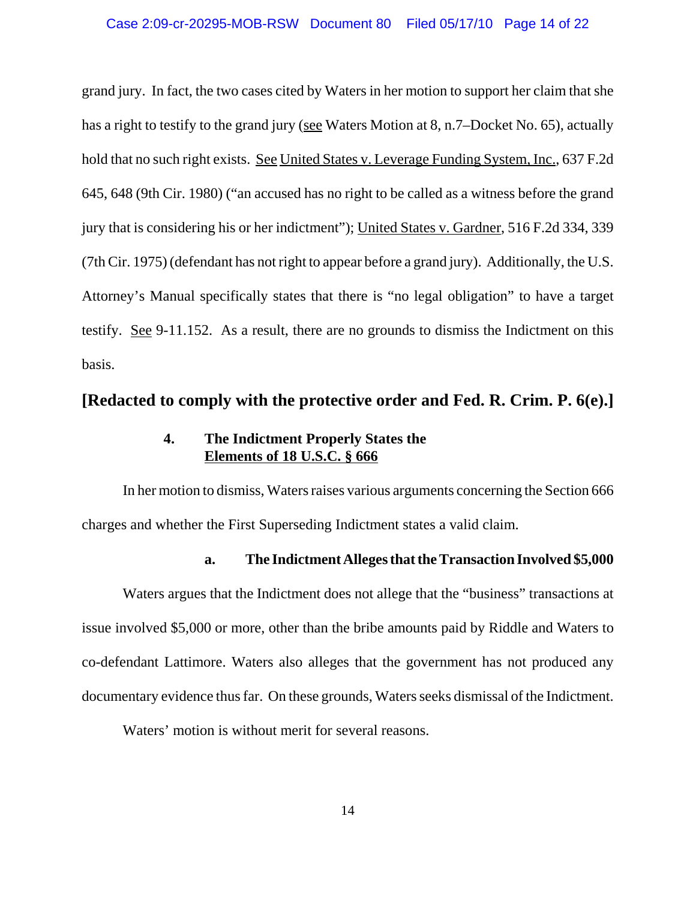#### Case 2:09-cr-20295-MOB-RSW Document 80 Filed 05/17/10 Page 14 of 22

grand jury. In fact, the two cases cited by Waters in her motion to support her claim that she has a right to testify to the grand jury (see Waters Motion at 8, n.7–Docket No. 65), actually hold that no such right exists. See United States v. Leverage Funding System, Inc., 637 F.2d 645, 648 (9th Cir. 1980) ("an accused has no right to be called as a witness before the grand jury that is considering his or her indictment"); United States v. Gardner, 516 F.2d 334, 339 (7th Cir. 1975) (defendant has not right to appear before a grand jury). Additionally, the U.S. Attorney's Manual specifically states that there is "no legal obligation" to have a target testify. See 9-11.152. As a result, there are no grounds to dismiss the Indictment on this basis.

### **[Redacted to comply with the protective order and Fed. R. Crim. P. 6(e).]**

### **4. The Indictment Properly States the Elements of 18 U.S.C. § 666**

In her motion to dismiss, Waters raises various arguments concerning the Section 666 charges and whether the First Superseding Indictment states a valid claim.

#### **a. The Indictment Alleges that the Transaction Involved \$5,000**

Waters argues that the Indictment does not allege that the "business" transactions at issue involved \$5,000 or more, other than the bribe amounts paid by Riddle and Waters to co-defendant Lattimore. Waters also alleges that the government has not produced any documentary evidence thus far. On these grounds, Waters seeks dismissal of the Indictment.

Waters' motion is without merit for several reasons.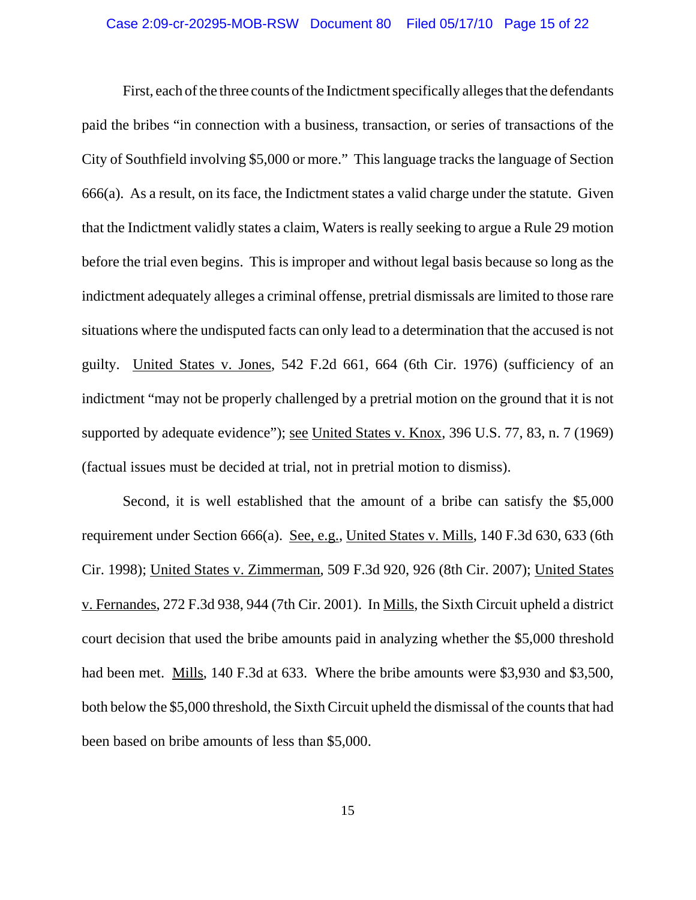### Case 2:09-cr-20295-MOB-RSW Document 80 Filed 05/17/10 Page 15 of 22

First, each of the three counts of the Indictment specifically alleges that the defendants paid the bribes "in connection with a business, transaction, or series of transactions of the City of Southfield involving \$5,000 or more." This language tracks the language of Section 666(a). As a result, on its face, the Indictment states a valid charge under the statute. Given that the Indictment validly states a claim, Waters is really seeking to argue a Rule 29 motion before the trial even begins. This is improper and without legal basis because so long as the indictment adequately alleges a criminal offense, pretrial dismissals are limited to those rare situations where the undisputed facts can only lead to a determination that the accused is not guilty. United States v. Jones, 542 F.2d 661, 664 (6th Cir. 1976) (sufficiency of an indictment "may not be properly challenged by a pretrial motion on the ground that it is not supported by adequate evidence"); see United States v. Knox, 396 U.S. 77, 83, n. 7 (1969) (factual issues must be decided at trial, not in pretrial motion to dismiss).

Second, it is well established that the amount of a bribe can satisfy the \$5,000 requirement under Section 666(a). See, e.g., United States v. Mills, 140 F.3d 630, 633 (6th Cir. 1998); United States v. Zimmerman, 509 F.3d 920, 926 (8th Cir. 2007); United States v. Fernandes, 272 F.3d 938, 944 (7th Cir. 2001). In Mills, the Sixth Circuit upheld a district court decision that used the bribe amounts paid in analyzing whether the \$5,000 threshold had been met. Mills, 140 F.3d at 633. Where the bribe amounts were \$3,930 and \$3,500, both below the \$5,000 threshold, the Sixth Circuit upheld the dismissal of the counts that had been based on bribe amounts of less than \$5,000.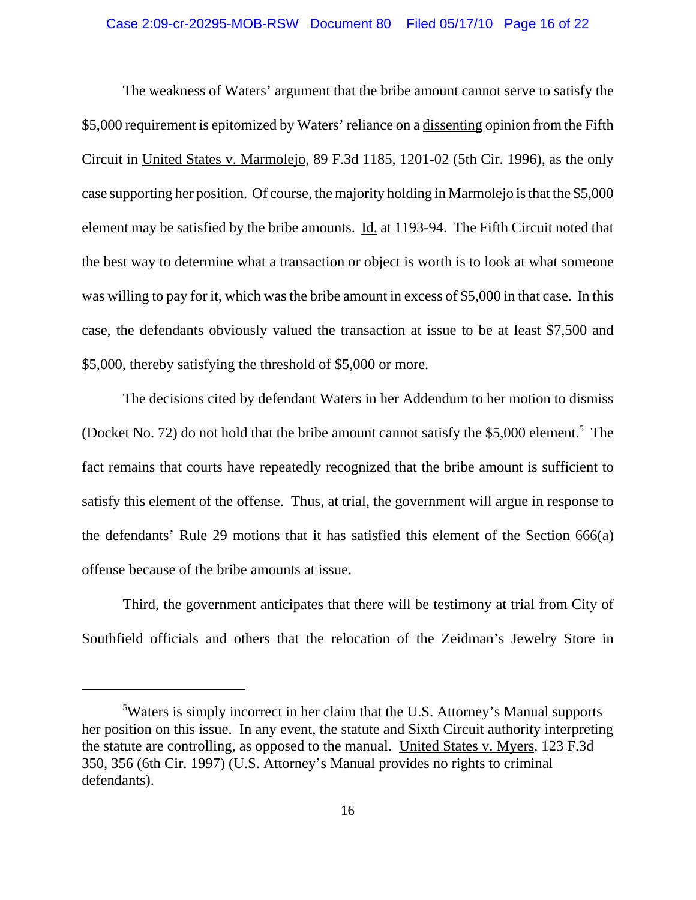#### Case 2:09-cr-20295-MOB-RSW Document 80 Filed 05/17/10 Page 16 of 22

The weakness of Waters' argument that the bribe amount cannot serve to satisfy the \$5,000 requirement is epitomized by Waters' reliance on a dissenting opinion from the Fifth Circuit in United States v. Marmolejo, 89 F.3d 1185, 1201-02 (5th Cir. 1996), as the only case supporting her position. Of course, the majority holding in Marmolejo is that the \$5,000 element may be satisfied by the bribe amounts. Id. at 1193-94. The Fifth Circuit noted that the best way to determine what a transaction or object is worth is to look at what someone was willing to pay for it, which was the bribe amount in excess of \$5,000 in that case. In this case, the defendants obviously valued the transaction at issue to be at least \$7,500 and \$5,000, thereby satisfying the threshold of \$5,000 or more.

The decisions cited by defendant Waters in her Addendum to her motion to dismiss (Docket No. 72) do not hold that the bribe amount cannot satisfy the \$5,000 element.<sup>5</sup> The fact remains that courts have repeatedly recognized that the bribe amount is sufficient to satisfy this element of the offense. Thus, at trial, the government will argue in response to the defendants' Rule 29 motions that it has satisfied this element of the Section 666(a) offense because of the bribe amounts at issue.

Third, the government anticipates that there will be testimony at trial from City of Southfield officials and others that the relocation of the Zeidman's Jewelry Store in

<sup>&</sup>lt;sup>5</sup>Waters is simply incorrect in her claim that the U.S. Attorney's Manual supports her position on this issue. In any event, the statute and Sixth Circuit authority interpreting the statute are controlling, as opposed to the manual. United States v. Myers, 123 F.3d 350, 356 (6th Cir. 1997) (U.S. Attorney's Manual provides no rights to criminal defendants).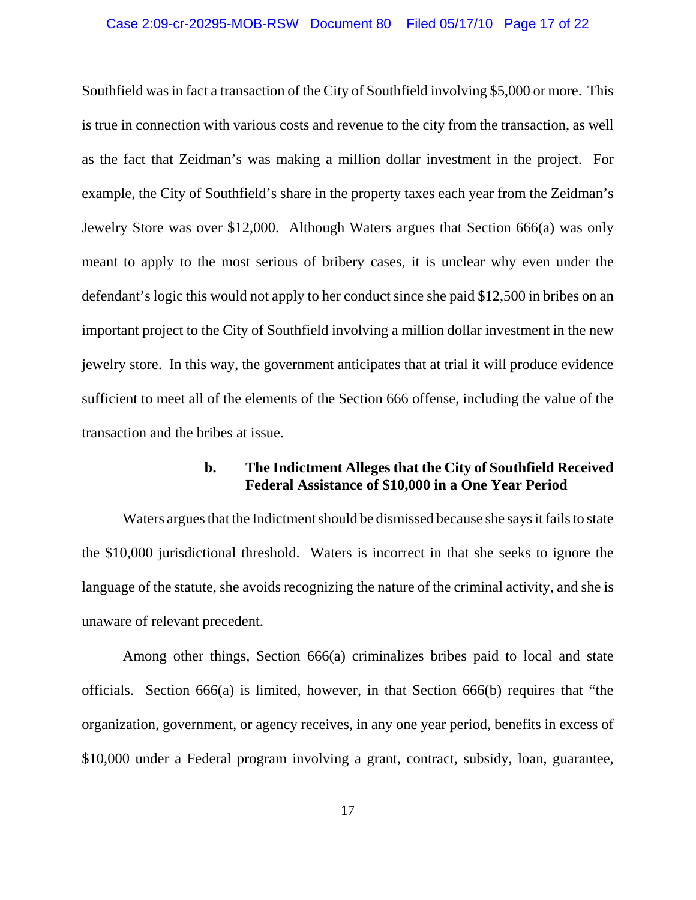#### Case 2:09-cr-20295-MOB-RSW Document 80 Filed 05/17/10 Page 17 of 22

Southfield was in fact a transaction of the City of Southfield involving \$5,000 or more. This is true in connection with various costs and revenue to the city from the transaction, as well as the fact that Zeidman's was making a million dollar investment in the project. For example, the City of Southfield's share in the property taxes each year from the Zeidman's Jewelry Store was over \$12,000. Although Waters argues that Section 666(a) was only meant to apply to the most serious of bribery cases, it is unclear why even under the defendant's logic this would not apply to her conduct since she paid \$12,500 in bribes on an important project to the City of Southfield involving a million dollar investment in the new jewelry store. In this way, the government anticipates that at trial it will produce evidence sufficient to meet all of the elements of the Section 666 offense, including the value of the transaction and the bribes at issue.

#### **b. The Indictment Alleges that the City of Southfield Received Federal Assistance of \$10,000 in a One Year Period**

Waters argues that the Indictment should be dismissed because she says it fails to state the \$10,000 jurisdictional threshold. Waters is incorrect in that she seeks to ignore the language of the statute, she avoids recognizing the nature of the criminal activity, and she is unaware of relevant precedent.

Among other things, Section 666(a) criminalizes bribes paid to local and state officials. Section 666(a) is limited, however, in that Section 666(b) requires that "the organization, government, or agency receives, in any one year period, benefits in excess of \$10,000 under a Federal program involving a grant, contract, subsidy, loan, guarantee,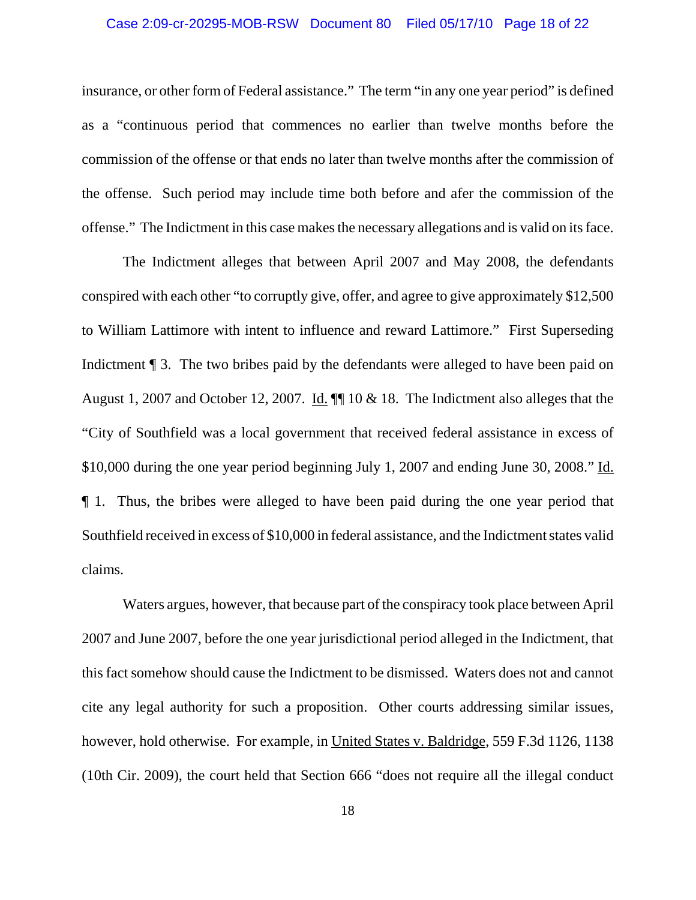#### Case 2:09-cr-20295-MOB-RSW Document 80 Filed 05/17/10 Page 18 of 22

insurance, or other form of Federal assistance." The term "in any one year period" is defined as a "continuous period that commences no earlier than twelve months before the commission of the offense or that ends no later than twelve months after the commission of the offense. Such period may include time both before and afer the commission of the offense." The Indictment in this case makes the necessary allegations and is valid on its face.

The Indictment alleges that between April 2007 and May 2008, the defendants conspired with each other "to corruptly give, offer, and agree to give approximately \$12,500 to William Lattimore with intent to influence and reward Lattimore." First Superseding Indictment **[114]** 3. The two bribes paid by the defendants were alleged to have been paid on August 1, 2007 and October 12, 2007. Id.  $\P$  10 & 18. The Indictment also alleges that the "City of Southfield was a local government that received federal assistance in excess of \$10,000 during the one year period beginning July 1, 2007 and ending June 30, 2008." Id. ¶ 1. Thus, the bribes were alleged to have been paid during the one year period that Southfield received in excess of \$10,000 in federal assistance, and the Indictment states valid claims.

Waters argues, however, that because part of the conspiracy took place between April 2007 and June 2007, before the one year jurisdictional period alleged in the Indictment, that this fact somehow should cause the Indictment to be dismissed. Waters does not and cannot cite any legal authority for such a proposition. Other courts addressing similar issues, however, hold otherwise. For example, in United States v. Baldridge, 559 F.3d 1126, 1138 (10th Cir. 2009), the court held that Section 666 "does not require all the illegal conduct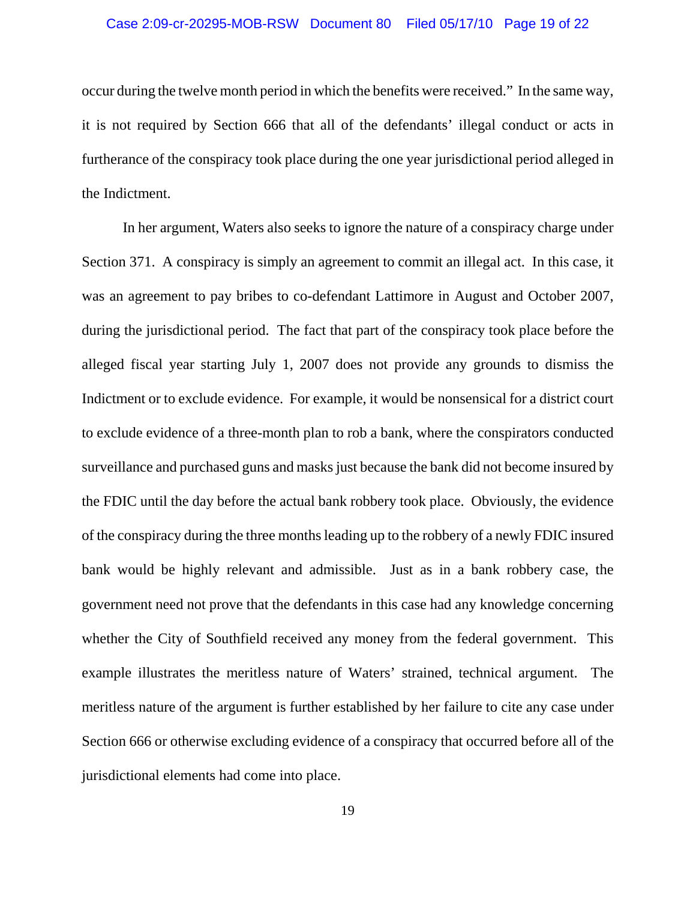#### Case 2:09-cr-20295-MOB-RSW Document 80 Filed 05/17/10 Page 19 of 22

occur during the twelve month period in which the benefits were received." In the same way, it is not required by Section 666 that all of the defendants' illegal conduct or acts in furtherance of the conspiracy took place during the one year jurisdictional period alleged in the Indictment.

In her argument, Waters also seeks to ignore the nature of a conspiracy charge under Section 371. A conspiracy is simply an agreement to commit an illegal act. In this case, it was an agreement to pay bribes to co-defendant Lattimore in August and October 2007, during the jurisdictional period. The fact that part of the conspiracy took place before the alleged fiscal year starting July 1, 2007 does not provide any grounds to dismiss the Indictment or to exclude evidence. For example, it would be nonsensical for a district court to exclude evidence of a three-month plan to rob a bank, where the conspirators conducted surveillance and purchased guns and masks just because the bank did not become insured by the FDIC until the day before the actual bank robbery took place. Obviously, the evidence of the conspiracy during the three months leading up to the robbery of a newly FDIC insured bank would be highly relevant and admissible. Just as in a bank robbery case, the government need not prove that the defendants in this case had any knowledge concerning whether the City of Southfield received any money from the federal government. This example illustrates the meritless nature of Waters' strained, technical argument. The meritless nature of the argument is further established by her failure to cite any case under Section 666 or otherwise excluding evidence of a conspiracy that occurred before all of the jurisdictional elements had come into place.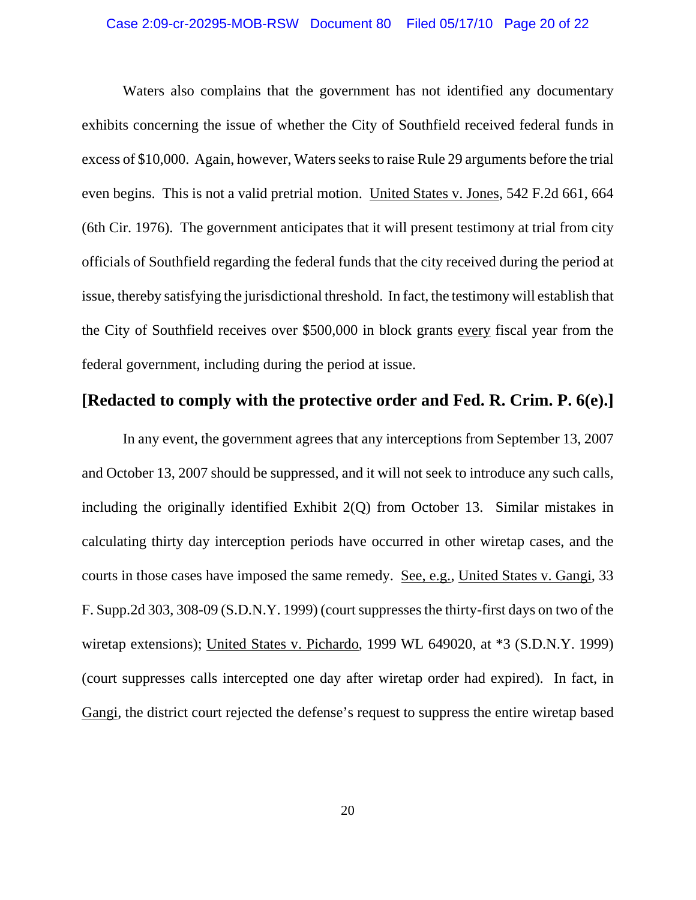### Case 2:09-cr-20295-MOB-RSW Document 80 Filed 05/17/10 Page 20 of 22

Waters also complains that the government has not identified any documentary exhibits concerning the issue of whether the City of Southfield received federal funds in excess of \$10,000. Again, however, Waters seeks to raise Rule 29 arguments before the trial even begins. This is not a valid pretrial motion. United States v. Jones, 542 F.2d 661, 664 (6th Cir. 1976). The government anticipates that it will present testimony at trial from city officials of Southfield regarding the federal funds that the city received during the period at issue, thereby satisfying the jurisdictional threshold. In fact, the testimony will establish that the City of Southfield receives over \$500,000 in block grants every fiscal year from the federal government, including during the period at issue.

## **[Redacted to comply with the protective order and Fed. R. Crim. P. 6(e).]**

In any event, the government agrees that any interceptions from September 13, 2007 and October 13, 2007 should be suppressed, and it will not seek to introduce any such calls, including the originally identified Exhibit 2(Q) from October 13. Similar mistakes in calculating thirty day interception periods have occurred in other wiretap cases, and the courts in those cases have imposed the same remedy. See, e.g., United States v. Gangi, 33 F. Supp.2d 303, 308-09 (S.D.N.Y. 1999) (court suppresses the thirty-first days on two of the wiretap extensions); United States v. Pichardo, 1999 WL 649020, at \*3 (S.D.N.Y. 1999) (court suppresses calls intercepted one day after wiretap order had expired). In fact, in Gangi, the district court rejected the defense's request to suppress the entire wiretap based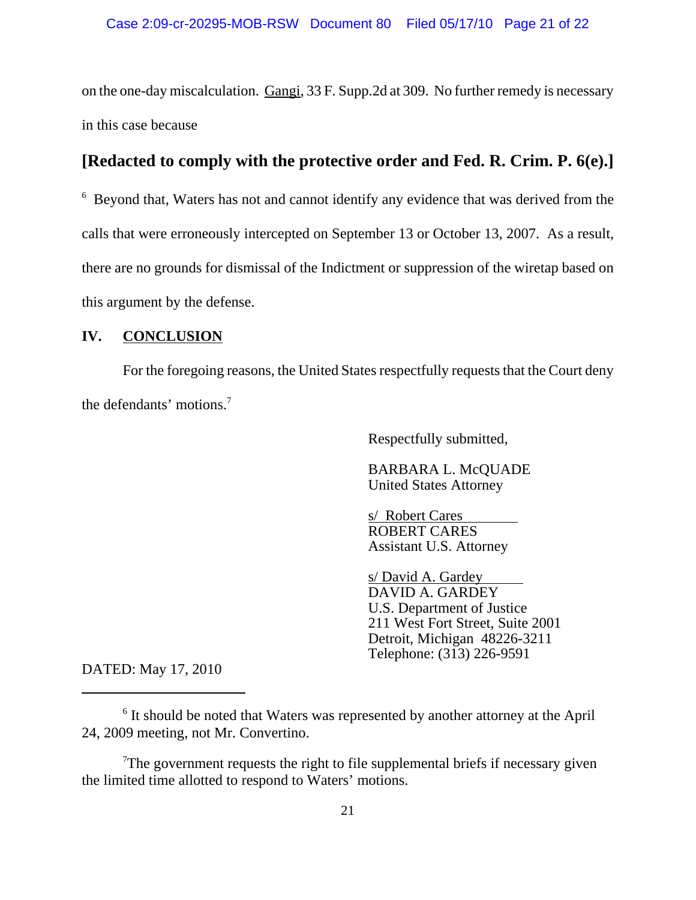on the one-day miscalculation. Gangi, 33 F. Supp.2d at 309. No further remedy is necessary in this case because

# **[Redacted to comply with the protective order and Fed. R. Crim. P. 6(e).]**

<sup>6</sup> Beyond that, Waters has not and cannot identify any evidence that was derived from the calls that were erroneously intercepted on September 13 or October 13, 2007. As a result, there are no grounds for dismissal of the Indictment or suppression of the wiretap based on this argument by the defense.

#### **IV. CONCLUSION**

For the foregoing reasons, the United States respectfully requests that the Court deny the defendants' motions.<sup>7</sup>

Respectfully submitted,

BARBARA L. McQUADE United States Attorney

s/ Robert Cares ROBERT CARES Assistant U.S. Attorney

s/ David A. Gardey DAVID A. GARDEY U.S. Department of Justice 211 West Fort Street, Suite 2001 Detroit, Michigan 48226-3211 Telephone: (313) 226-9591

DATED: May 17, 2010

 $7$ The government requests the right to file supplemental briefs if necessary given the limited time allotted to respond to Waters' motions.

<sup>&</sup>lt;sup>6</sup> It should be noted that Waters was represented by another attorney at the April 24, 2009 meeting, not Mr. Convertino.